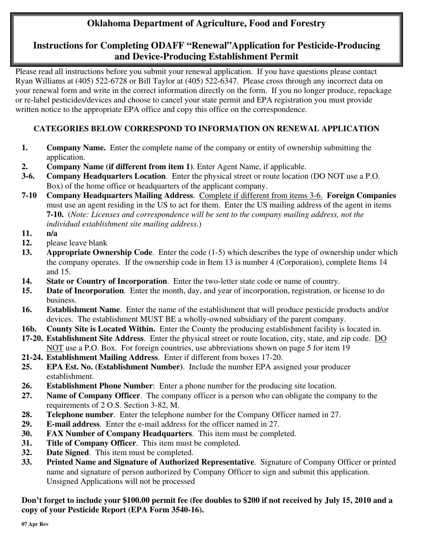# **Oklahoma Department of Agriculture, Food and Forestry**

## **Instructions for Completing ODAFF "Renewal"Application for Pesticide-Producing and Device-Producing Establishment Permit**

Please read all instructions before you submit your renewal application. If you have questions please contact Ryan Williams at (405) 522-6728 or Bill Taylor at (405) 522-6347. Please cross through any incorrect data on your renewal form and write in the correct information directly on the form. If you no longer produce, repackage or re-label pesticides/devices and choose to cancel your state permit and EPA registration you must provide written notice to the appropriate EPA office and copy this office on the correspondence.

## **CATEGORIES BELOW CORRESPOND TO INFORMATION ON RENEWAL APPLICATION**

- **1.** Company Name. Enter the complete name of the company or entity of ownership submitting the application.
- **2. Company Name (if different from item 1)**. Enter Agent Name, if applicable.
- **3-6. Company Headquarters Location**. Enter the physical street or route location (DO NOT use a P.O. Box) of the home office or headquarters of the applicant company.
- **7-10 Company Headquarters Mailing Address**. Complete if different from items 3-6. **Foreign Companies**  must use an agent residing in the US to act for them. Enter the US mailing address of the agent in items **7-10.** (*Note: Licenses and correspondence will be sent to the company mailing address, not the individual establishment site mailing address.*)
- **11. n/a**
- **12.** please leave blank
- **13. Appropriate Ownership Code**. Enter the code (1-5) which describes the type of ownership under which the company operates. If the ownership code in Item 13 is number 4 (Corporation), complete Items 14 and 15.
- **14. State or Country of Incorporation**. Enter the two-letter state code or name of country.
- **15. Date of Incorporation**. Enter the month, day, and year of incorporation, registration, or license to do business.
- **16. Establishment Name**. Enter the name of the establishment that will produce pesticide products and/or devices. The establishment MUST BE a wholly-owned subsidiary of the parent company.
- **16b. County Site is Located Within.** Enter the County the producing establishment facility is located in.
- **17-20. Establishment Site Address**. Enter the physical street or route location, city, state, and zip code. DO NOT use a P.O. Box. For foreign countries, use abbreviations shown on page 5 for item 19
- **21-24. Establishment Mailing Address**. Enter if different from boxes 17-20.
- **25. EPA Est. No. (Establishment Number)**. Include the number EPA assigned your producer establishment.
- **26. Establishment Phone Number**: Enter a phone number for the producing site location.
- **27. Name of Company Officer**. The company officer is a person who can obligate the company to the requirements of 2 O.S. Section 3-82, M.
- **28. Telephone number**. Enter the telephone number for the Company Officer named in 27.
- **29. E-mail address**. Enter the e-mail address for the officer named in 27.
- **30. FAX Number of Company Headquarters**. This item must be completed.
- **31. Title of Company Officer**. This item must be completed.
- **32. Date Signed**. This item must be completed.
- **33. Printed Name and Signature of Authorized Representative**. Signature of Company Officer or printed name and signature of person authorized by Company Officer to sign and submit this application. Unsigned Applications will not be processed

### **Don't forget to include your \$100.00 permit fee (fee doubles to \$200 if not received by July 15, 2010 and a copy of your Pesticide Report (EPA Form 3540-16).**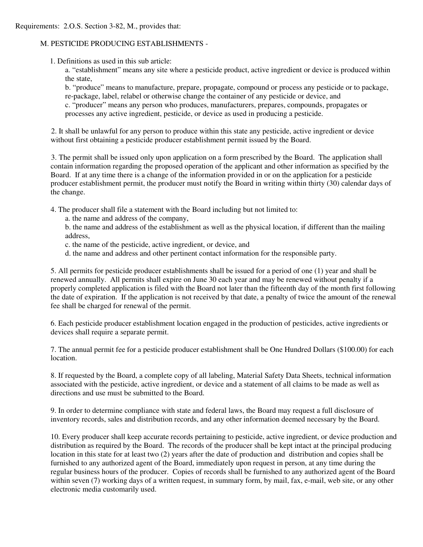#### M. PESTICIDE PRODUCING ESTABLISHMENTS -

1. Definitions as used in this sub article:

 a. "establishment" means any site where a pesticide product, active ingredient or device is produced within the state,

 b. "produce" means to manufacture, prepare, propagate, compound or process any pesticide or to package, re-package, label, relabel or otherwise change the container of any pesticide or device, and c. "producer" means any person who produces, manufacturers, prepares, compounds, propagates or

processes any active ingredient, pesticide, or device as used in producing a pesticide.

 2. It shall be unlawful for any person to produce within this state any pesticide, active ingredient or device without first obtaining a pesticide producer establishment permit issued by the Board.

 contain information regarding the proposed operation of the applicant and other information as specified by the Board. If at any time there is a change of the information provided in or on the application for a pesticide producer establishment permit, the producer must notify the Board in writing within thirty (30) calendar days of 3. The permit shall be issued only upon application on a form prescribed by the Board. The application shall the change.

4. The producer shall file a statement with the Board including but not limited to:

a. the name and address of the company,

 b. the name and address of the establishment as well as the physical location, if different than the mailing address,

- c. the name of the pesticide, active ingredient, or device, and
- d. the name and address and other pertinent contact information for the responsible party.

 5. All permits for pesticide producer establishments shall be issued for a period of one (1) year and shall be properly completed application is filed with the Board not later than the fifteenth day of the month first following the date of expiration. If the application is not received by that date, a penalty of twice the amount of the renewal renewed annually. All permits shall expire on June 30 each year and may be renewed without penalty if a fee shall be charged for renewal of the permit.

 6. Each pesticide producer establishment location engaged in the production of pesticides, active ingredients or devices shall require a separate permit.

 7. The annual permit fee for a pesticide producer establishment shall be One Hundred Dollars (\$100.00) for each location.

 8. If requested by the Board, a complete copy of all labeling, Material Safety Data Sheets, technical information associated with the pesticide, active ingredient, or device and a statement of all claims to be made as well as directions and use must be submitted to the Board.

9. In order to determine compliance with state and federal laws, the Board may request a full disclosure of inventory records, sales and distribution records, and any other information deemed necessary by the Board.

 distribution as required by the Board. The records of the producer shall be kept intact at the principal producing location in this state for at least two (2) years after the date of production and distribution and copies shall be furnished to any authorized agent of the Board, immediately upon request in person, at any time during the regular business hours of the producer. Copies of records shall be furnished to any authorized agent of the Board within seven (7) working days of a written request, in summary form, by mail, fax, e-mail, web site, or any other 10. Every producer shall keep accurate records pertaining to pesticide, active ingredient, or device production and electronic media customarily used.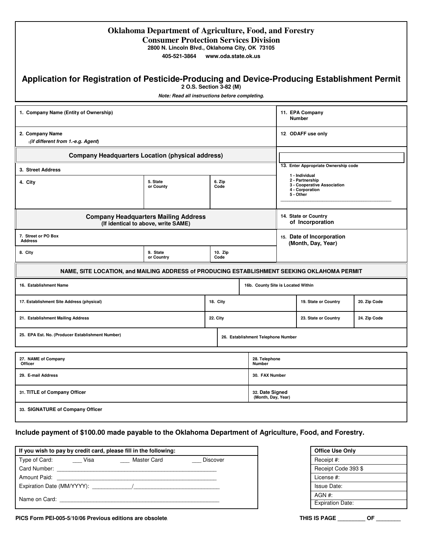| <b>Oklahoma Department of Agriculture, Food, and Forestry</b> |  |
|---------------------------------------------------------------|--|
| <b>Consumer Protection Services Division</b>                  |  |

 **2800 N. Lincoln Blvd., Oklahoma City, OK 73105** 

 **405-521-3864 www.oda.state.ok.us** 

#### **Application for Registration of Pesticide-Producing and Device-Producing Establishment Permit**

**2 O.S. Section 3-82 (M)** 

  *Note: Read all instructions before completing.* 

| 1. Company Name (Entity of Ownership)                                                       |                        |                                    | 11. EPA Company<br><b>Number</b>                |                                                                                                  |                      |              |  |
|---------------------------------------------------------------------------------------------|------------------------|------------------------------------|-------------------------------------------------|--------------------------------------------------------------------------------------------------|----------------------|--------------|--|
| 2. Company Name<br>(if different from 1.-e.g. Agent)                                        |                        |                                    | 12. ODAFF use only                              |                                                                                                  |                      |              |  |
| <b>Company Headquarters Location (physical address)</b>                                     |                        |                                    |                                                 |                                                                                                  |                      |              |  |
| 3. Street Address                                                                           |                        |                                    | 13. Enter Appropriate Ownership code            |                                                                                                  |                      |              |  |
| 4. City                                                                                     | 5. State<br>or County  | 6. Zip<br>Code                     |                                                 | 1 - Individual<br>2 - Partnership<br>3 - Cooperative Association<br>4 - Corporation<br>5 - Other |                      |              |  |
| <b>Company Headquarters Mailing Address</b><br>(If identical to above, write SAME)          |                        |                                    | 14. State or Country<br>of Incorporation        |                                                                                                  |                      |              |  |
| 7. Street or PO Box<br><b>Address</b>                                                       |                        |                                    | 15. Date of Incorporation<br>(Month, Day, Year) |                                                                                                  |                      |              |  |
| 8. City                                                                                     | 9. State<br>or Country | 10. Zip<br>Code                    |                                                 |                                                                                                  |                      |              |  |
| NAME, SITE LOCATION, and MAILING ADDRESS of PRODUCING ESTABLISHMENT SEEKING OKLAHOMA PERMIT |                        |                                    |                                                 |                                                                                                  |                      |              |  |
| 16. Establishment Name                                                                      |                        | 16b. County Site is Located Within |                                                 |                                                                                                  |                      |              |  |
| 17. Establishment Site Address (physical)                                                   |                        | 18. City                           |                                                 |                                                                                                  | 19. State or Country | 20. Zip Code |  |
| <b>22. City</b><br>21. Establishment Mailing Address                                        |                        |                                    | 23. State or Country<br>24. Zip Code            |                                                                                                  |                      |              |  |
| 25. EPA Est. No. (Producer Establishment Number)<br>26. Establishment Telephone Number      |                        |                                    |                                                 |                                                                                                  |                      |              |  |
| 27. NAME of Company<br>Officer                                                              |                        | Number                             | 28. Telephone                                   |                                                                                                  |                      |              |  |
| 29. E-mail Address                                                                          |                        |                                    | 30. FAX Number                                  |                                                                                                  |                      |              |  |
| 31. TITLE of Company Officer                                                                |                        |                                    |                                                 | 32. Date Signed<br>(Month, Day, Year)                                                            |                      |              |  |
| 33. SIGNATURE of Company Officer                                                            |                        |                                    |                                                 |                                                                                                  |                      |              |  |

 **Include payment of \$100.00 made payable to the Oklahoma Department of Agriculture, Food, and Forestry.** 

| If you wish to pay by credit card, please fill in the following: |                                                                                                                                                                                                                               |                                       |          |  |
|------------------------------------------------------------------|-------------------------------------------------------------------------------------------------------------------------------------------------------------------------------------------------------------------------------|---------------------------------------|----------|--|
| Type of Card:                                                    | <b>Visa</b>                                                                                                                                                                                                                   | Master Card                           | Discover |  |
| Card Number:                                                     |                                                                                                                                                                                                                               |                                       |          |  |
| Amount Paid:                                                     |                                                                                                                                                                                                                               |                                       |          |  |
|                                                                  |                                                                                                                                                                                                                               | Expiration Date (MM/YYYY): $\sqrt{2}$ |          |  |
|                                                                  | Name on Card: The contract of the contract of the contract of the contract of the contract of the contract of the contract of the contract of the contract of the contract of the contract of the contract of the contract of |                                       |          |  |

| <b>Office Use Only</b>  |
|-------------------------|
| Receipt #:              |
| Receipt Code 393 \$     |
| License #:              |
| Issue Date:             |
| $AGN#$ :                |
| <b>Expiration Date:</b> |
|                         |

 **PICS Form PEI-005-5/10/06 Previous editions are obsolete. THIS IS PAGE \_\_\_\_\_\_\_\_\_ OF \_\_\_\_\_\_\_\_**